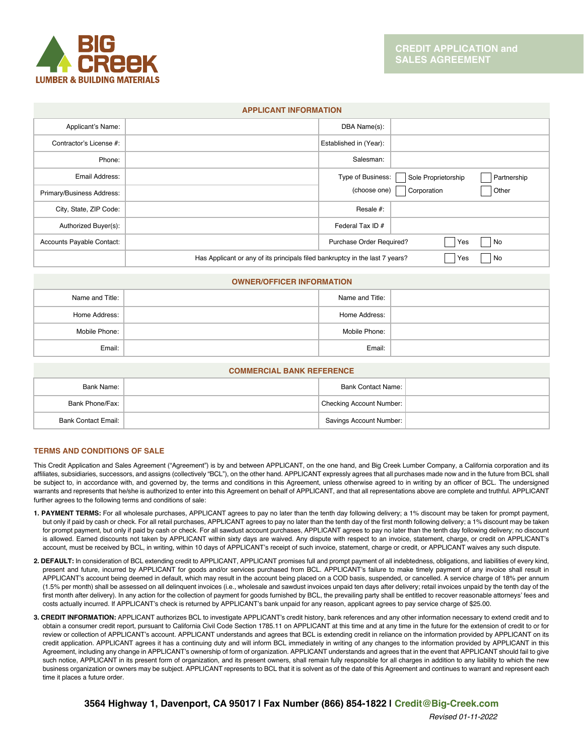

## **APPLICANT INFORMATION**

| Applicant's Name:         |                                                                              | DBA Name(s):             |                     |             |
|---------------------------|------------------------------------------------------------------------------|--------------------------|---------------------|-------------|
| Contractor's License #:   |                                                                              | Established in (Year):   |                     |             |
| Phone:                    |                                                                              | Salesman:                |                     |             |
| Email Address:            |                                                                              | Type of Business:        | Sole Proprietorship | Partnership |
| Primary/Business Address: |                                                                              | (choose one)             | Corporation         | Other       |
| City, State, ZIP Code:    |                                                                              | Resale #:                |                     |             |
| Authorized Buyer(s):      |                                                                              | Federal Tax ID #         |                     |             |
| Accounts Payable Contact: |                                                                              | Purchase Order Required? | Yes                 | No          |
|                           | Has Applicant or any of its principals filed bankruptcy in the last 7 years? |                          | Yes                 | No          |

## **OWNER/OFFICER INFORMATION**

| Name and Title: | Name and Title: |  |
|-----------------|-----------------|--|
| Home Address:   | Home Address:   |  |
| Mobile Phone:   | Mobile Phone:   |  |
| Email:          | Email:          |  |

## **COMMERCIAL BANK REFERENCE**

| Bank Name:                 |  | <b>Bank Contact Name:</b> |  |
|----------------------------|--|---------------------------|--|
| Bank Phone/Fax:            |  | Checking Account Number:  |  |
| <b>Bank Contact Email:</b> |  | Savings Account Number:   |  |

# **TERMS AND CONDITIONS OF SALE**

This Credit Application and Sales Agreement ("Agreement") is by and between APPLICANT, on the one hand, and Big Creek Lumber Company, a California corporation and its affiliates, subsidiaries, successors, and assigns (collectively "BCL"), on the other hand. APPLICANT expressly agrees that all purchases made now and in the future from BCL shall be subject to, in accordance with, and governed by, the terms and conditions in this Agreement, unless otherwise agreed to in writing by an officer of BCL. The undersigned warrants and represents that he/she is authorized to enter into this Agreement on behalf of APPLICANT, and that all representations above are complete and truthful. APPLICANT further agrees to the following terms and conditions of sale:

- **1. PAYMENT TERMS:** For all wholesale purchases, APPLICANT agrees to pay no later than the tenth day following delivery; a 1% discount may be taken for prompt payment, but only if paid by cash or check. For all retail purchases, APPLICANT agrees to pay no later than the tenth day of the first month following delivery; a 1% discount may be taken for prompt payment, but only if paid by cash or check. For all sawdust account purchases, APPLICANT agrees to pay no later than the tenth day following delivery; no discount is allowed. Earned discounts not taken by APPLICANT within sixty days are waived. Any dispute with respect to an invoice, statement, charge, or credit on APPLICANT's account, must be received by BCL, in writing, within 10 days of APPLICANT's receipt of such invoice, statement, charge or credit, or APPLICANT waives any such dispute.
- **2. DEFAULT:** In consideration of BCL extending credit to APPLICANT, APPLICANT promises full and prompt payment of all indebtedness, obligations, and liabilities of every kind, present and future, incurred by APPLICANT for goods and/or services purchased from BCL. APPLICANT's failure to make timely payment of any invoice shall result in APPLICANT's account being deemed in default, which may result in the account being placed on a COD basis, suspended, or cancelled. A service charge of 18% per annum (1.5% per month) shall be assessed on all delinquent invoices (i.e., wholesale and sawdust invoices unpaid ten days after delivery; retail invoices unpaid by the tenth day of the first month after delivery). In any action for the collection of payment for goods furnished by BCL, the prevailing party shall be entitled to recover reasonable attorneys' fees and costs actually incurred. If APPLICANT's check is returned by APPLICANT's bank unpaid for any reason, applicant agrees to pay service charge of \$25.00.
- **3. CREDIT INFORMATION:** APPLICANT authorizes BCL to investigate APPLICANT's credit history, bank references and any other information necessary to extend credit and to obtain a consumer credit report, pursuant to California Civil Code Section 1785.11 on APPLICANT at this time and at any time in the future for the extension of credit to or for review or collection of APPLICANT's account. APPLICANT understands and agrees that BCL is extending credit in reliance on the information provided by APPLICANT on its credit application. APPLICANT agrees it has a continuing duty and will inform BCL immediately in writing of any changes to the information provided by APPLICANT in this Agreement, including any change in APPLICANT's ownership of form of organization. APPLICANT understands and agrees that in the event that APPLICANT should fail to give such notice, APPLICANT in its present form of organization, and its present owners, shall remain fully responsible for all charges in addition to any liability to which the new business organization or owners may be subject. APPLICANT represents to BCL that it is solvent as of the date of this Agreement and continues to warrant and represent each time it places a future order.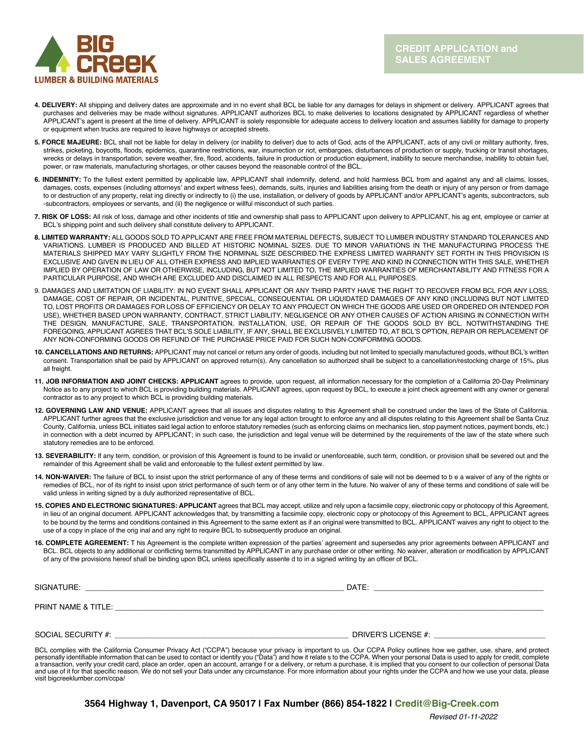

- **4. DELIVERY:** All shipping and delivery dates are approximate and in no event shall BCL be liable for any damages for delays in shipment or delivery. APPLICANT agrees that purchases and deliveries may be made without signatures. APPLICANT authorizes BCL to make deliveries to locations designated by APPLICANT regardless of whether APPLICANT's agent is present at the time of delivery. APPLICANT is solely responsible for adequate access to delivery location and assumes liability for damage to property or equipment when trucks are required to leave highways or accepted streets.
- **5. FORCE MAJEURE:** BCL shall not be liable for delay in delivery (or inability to deliver) due to acts of God, acts of the APPLICANT, acts of any civil or military authority, fires, strikes, picketing, boycotts, floods, epidemics, quarantine restrictions, war, insurrection or riot, embargoes, disturbances of production or supply, trucking or transit shortages, wrecks or delays in transportation, severe weather, fire, flood, accidents, failure in production or production equipment, inability to secure merchandise, inability to obtain fuel, power, or raw materials, manufacturing shortages, or other causes beyond the reasonable control of the BCL.
- **6. INDEMNITY:** To the fullest extent permitted by applicable law, APPLICANT shall indemnify, defend, and hold harmless BCL from and against any and all claims, losses, damages, costs, expenses (including attorneys' and expert witness fees), demands, suits, injuries and liabilities arising from the death or injury of any person or from damage to or destruction of any property, relat ing directly or indirectly to (i) the use, installation, or delivery of goods by APPLICANT and/or APPLICANT's agents, subcontractors, sub -subcontractors, employees or servants, and (ii) the negligence or willful misconduct of such parties.
- **7. RISK OF LOSS:** All risk of loss, damage and other incidents of title and ownership shall pass to APPLICANT upon delivery to APPLICANT, his ag ent, employee or carrier at BCL's shipping point and such delivery shall constitute delivery to APPLICANT.
- **8. LIMITED WARRANTY:** ALL GOODS SOLD TO APPLICANT ARE FREE FROM MATERIAL DEFECTS, SUBJECT TO LUMBER INDUSTRY STANDARD TOLERANCES AND VARIATIONS. LUMBER IS PRODUCED AND BILLED AT HISTORIC NOMINAL SIZES. DUE TO MINOR VARIATIONS IN THE MANUFACTURING PROCESS THE MATERIALS SHIPPED MAY VARY SLIGHTLY FROM THE NORMINAL SIZE DESCRIBED.THE EXPRESS LIMITED WARRANTY SET FORTH IN THIS PROVISION IS EXCLUSIVE AND GIVEN IN LIEU OF ALL OTHER EXPRESS AND IMPLIED WARRANTIES OF EVERY TYPE AND KIND IN CONNECTION WITH THIS SALE, WHETHER IMPLIED BY OPERATION OF LAW OR OTHERWISE, INCLUDING, BUT NOT LIMITED TO, THE IMPLIED WARRANTIES OF MERCHANTABILITY AND FITNESS FOR A PARTICULAR PURPOSE, AND WHICH ARE EXCLUDED AND DISCLAIMED IN ALL RESPECTS AND FOR ALL PURPOSES.
- 9. DAMAGES AND LIMITATION OF LIABILITY: IN NO EVENT SHALL APPLICANT OR ANY THIRD PARTY HAVE THE RIGHT TO RECOVER FROM BCL FOR ANY LOSS, DAMAGE, COST OF REPAIR, OR INCIDENTAL, PUNITIVE, SPECIAL, CONSEQUENTIAL OR LIQUIDATED DAMAGES OF ANY KIND (INCLUDING BUT NOT LIMITED TO, LOST PROFITS OR DAMAGES FOR LOSS OF EFFICIENCY OR DELAY TO ANY PROJECT ON WHICH THE GOODS ARE USED OR ORDERED OR INTENDED FOR USE), WHETHER BASED UPON WARRANTY, CONTRACT, STRICT LIABILITY, NEGLIGENCE OR ANY OTHER CAUSES OF ACTION ARISING IN CONNECTION WITH THE DESIGN, MANUFACTURE, SALE, TRANSPORTATION, INSTALLATION, USE, OR REPAIR OF THE GOODS SOLD BY BCL. NOTWITHSTANDING THE FOREGOING, APPLICANT AGREES THAT BCL'S SOLE LIABILITY, IF ANY, SHALL BE EXCLUSIVELY LIMITED TO, AT BCL'S OPTION, REPAIR OR REPLACEMENT OF ANY NON-CONFORMING GOODS OR REFUND OF THE PURCHASE PRICE PAID FOR SUCH NON-CONFORMING GOODS.
- **10. CANCELLATIONS AND RETURNS:** APPLICANT may not cancel or return any order of goods, including but not limited to specially manufactured goods, without BCL's written consent. Transportation shall be paid by APPLICANT on approved return(s). Any cancellation so authorized shall be subject to a cancellation/restocking charge of 15%, plus all freight.
- **11. JOB INFORMATION AND JOINT CHECKS: APPLICANT** agrees to provide, upon request, all information necessary for the completion of a California 20-Day Preliminary Notice as to any project to which BCL is providing building materials. APPLICANT agrees, upon request by BCL, to execute a joint check agreement with any owner or general contractor as to any project to which BCL is providing building materials.
- **12. GOVERNING LAW AND VENUE:** APPLICANT agrees that all issues and disputes relating to this Agreement shall be construed under the laws of the State of California. APPLICANT further agrees that the exclusive jurisdiction and venue for any legal action brought to enforce any and all disputes relating to this Agreement shall be Santa Cruz County, California, unless BCL initiates said legal action to enforce statutory remedies (such as enforcing claims on mechanics lien, stop payment notices, payment bonds, etc.) in connection with a debt incurred by APPLICANT; in such case, the jurisdiction and legal venue will be determined by the requirements of the law of the state where such statutory remedies are to be enforced.
- **13. SEVERABILITY:** If any term, condition, or provision of this Agreement is found to be invalid or unenforceable, such term, condition, or provision shall be severed out and the remainder of this Agreement shall be valid and enforceable to the fullest extent permitted by law.
- **14. NON-WAIVER:** The failure of BCL to insist upon the strict performance of any of these terms and conditions of sale will not be deemed to b e a waiver of any of the rights or remedies of BCL, nor of its right to insist upon strict performance of such term or of any other term in the future. No waiver of any of these terms and conditions of sale will be valid unless in writing signed by a duly authorized representative of BCL.
- **15. COPIES AND ELECTRONIC SIGNATURES: APPLICANT** agrees that BCL may accept, utilize and rely upon a facsimile copy, electronic copy or photocopy of this Agreement, in lieu of an original document. APPLICANT acknowledges that, by transmitting a facsimile copy, electronic copy or photocopy of this Agreement to BCL, APPLICANT agrees to be bound by the terms and conditions contained in this Agreement to the same extent as if an original were transmitted to BCL. APPLICANT waives any right to object to the use of a copy in place of the orig inal and any right to require BCL to subsequently produce an original.
- **16. COMPLETE AGREEMENT:** T his Agreement is the complete written expression of the parties' agreement and supersedes any prior agreements between APPLICANT and BCL. BCL objects to any additional or conflicting terms transmitted by APPLICANT in any purchase order or other writing. No waiver, alteration or modification by APPLICANT of any of the provisions hereof shall be binding upon BCL unless specifically assente d to in a signed writing by an officer of BCL.

| SIGNATURE:          | DATE:               |
|---------------------|---------------------|
| PRINT NAME & TITLE: |                     |
| SOCIAL SECURITY #:  | DRIVER'S LICENSE #: |

BCL complies with the California Consumer Privacy Act ("CCPA") because your privacy is important to us. Our CCPA Policy outlines how we gather, use, share, and protect personally identifiable information that can be used to contact or identify you ("Data") and how it relate s to the CCPA. When your personal Data is used to apply for credit, complete a transaction, verify your credit card, place an order, open an account, arrange f or a delivery, or return a purchase, it is implied that you consent to our collection of personal Data and use of it for that specific reason. We do not sell your Data under any circumstance. For more information about your rights under the CCPA and how we use your data, please visit bigcreeklumber.com/ccpa/

**3564 Highway 1, Davenport, CA 95017 | Fax Number (866) 854-1822 | Credit@Big-Creek.com**